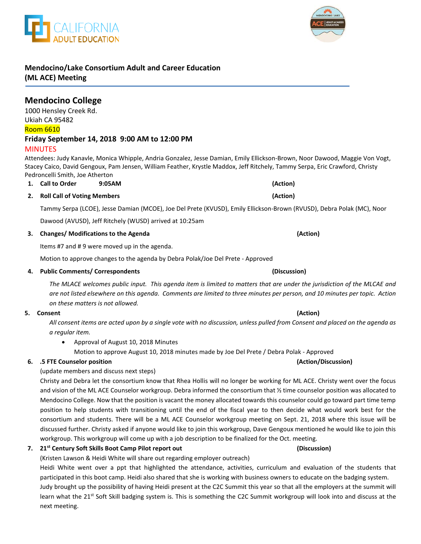## **Mendocino/Lake Consortium Adult and Career Education (ML ACE) Meeting**

#### 1000 Hensley Creek Rd. Ukiah CA 95482 Room 6610 **Friday September 14, 2018 9:00 AM to 12:00 PM** MINUTES

Attendees: Judy Kanavle, Monica Whipple, Andria Gonzalez, Jesse Damian, Emily Ellickson-Brown, Noor Dawood, Maggie Von Vogt, Stacey Caico, David Gengoux, Pam Jensen, William Feather, Krystle Maddox, Jeff Ritchely, Tammy Serpa, Eric Crawford, Christy Pedroncelli Smith, Joe Atherton

# **1. Call to Order 9:05AM (Action)**

### **2. Roll Call of Voting Members (Action)** Tammy Serpa (LCOE), Jesse Damian (MCOE), Joe Del Prete (KVUSD), Emily Ellickson-Brown (RVUSD), Debra Polak (MC), Noor

Dawood (AVUSD), Jeff Ritchely (WUSD) arrived at 10:25am

#### **3. Changes/ Modifications to the Agenda (Action)**

Items #7 and # 9 were moved up in the agenda.

Motion to approve changes to the agenda by Debra Polak/Joe Del Prete - Approved

#### **4. Public Comments/ Correspondents (Discussion)**

*The MLACE welcomes public input. This agenda item is limited to matters that are under the jurisdiction of the MLCAE and are not listed elsewhere on this agenda. Comments are limited to three minutes per person, and 10 minutes per topic. Action on these matters is not allowed.*

#### **5. Consent (Action)**

*All consent items are acted upon by a single vote with no discussion, unless pulled from Consent and placed on the agenda as a regular item.* 

• Approval of August 10, 2018 Minutes

Motion to approve August 10, 2018 minutes made by Joe Del Prete / Debra Polak - Approved

### **6. .5 FTE Counselor position (Action/Discussion)**

### (update members and discuss next steps)

Christy and Debra let the consortium know that Rhea Hollis will no longer be working for ML ACE. Christy went over the focus and vision of the ML ACE Counselor workgroup. Debra informed the consortium that ½ time counselor position was allocated to Mendocino College. Now that the position is vacant the money allocated towards this counselor could go toward part time temp position to help students with transitioning until the end of the fiscal year to then decide what would work best for the consortium and students. There will be a ML ACE Counselor workgroup meeting on Sept. 21, 2018 where this issue will be discussed further. Christy asked if anyone would like to join this workgroup, Dave Gengoux mentioned he would like to join this workgroup. This workgroup will come up with a job description to be finalized for the Oct. meeting.

### **7. 21st Century Soft Skills Boot Camp Pilot report out (Discussion)**

(Kristen Lawson & Heidi White will share out regarding employer outreach)

Heidi White went over a ppt that highlighted the attendance, activities, curriculum and evaluation of the students that participated in this boot camp. Heidi also shared that she is working with business owners to educate on the badging system. Judy brought up the possibility of having Heidi present at the C2C Summit this year so that all the employers at the summit will learn what the 21<sup>st</sup> Soft Skill badging system is. This is something the C2C Summit workgroup will look into and discuss at the

next meeting.



**Mendocino College** 

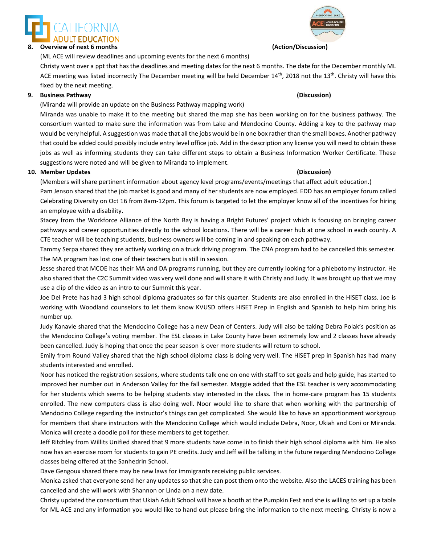

(ML ACE will review deadlines and upcoming events for the next 6 months)

Christy went over a ppt that has the deadlines and meeting dates for the next 6 months. The date for the December monthly ML ACE meeting was listed incorrectly The December meeting will be held December  $14<sup>th</sup>$ , 2018 not the  $13<sup>th</sup>$ . Christy will have this fixed by the next meeting.

### **9. Business Pathway (Discussion)**

(Miranda will provide an update on the Business Pathway mapping work)

Miranda was unable to make it to the meeting but shared the map she has been working on for the business pathway. The consortium wanted to make sure the information was from Lake and Mendocino County. Adding a key to the pathway map would be very helpful. A suggestion was made that all the jobs would be in one box rather than the small boxes. Another pathway that could be added could possibly include entry level office job. Add in the description any license you will need to obtain these jobs as well as informing students they can take different steps to obtain a Business Information Worker Certificate. These suggestions were noted and will be given to Miranda to implement.

#### **10. Member Updates (Discussion)**

(Members will share pertinent information about agency level programs/events/meetings that affect adult education.) Pam Jenson shared that the job market is good and many of her students are now employed. EDD has an employer forum called Celebrating Diversity on Oct 16 from 8am-12pm. This forum is targeted to let the employer know all of the incentives for hiring an employee with a disability.

Stacey from the Workforce Alliance of the North Bay is having a Bright Futures' project which is focusing on bringing career pathways and career opportunities directly to the school locations. There will be a career hub at one school in each county. A CTE teacher will be teaching students, business owners will be coming in and speaking on each pathway.

Tammy Serpa shared they are actively working on a truck driving program. The CNA program had to be cancelled this semester. The MA program has lost one of their teachers but is still in session.

Jesse shared that MCOE has their MA and DA programs running, but they are currently looking for a phlebotomy instructor. He also shared that the C2C Summit video was very well done and will share it with Christy and Judy. It was brought up that we may use a clip of the video as an intro to our Summit this year.

Joe Del Prete has had 3 high school diploma graduates so far this quarter. Students are also enrolled in the HiSET class. Joe is working with Woodland counselors to let them know KVUSD offers HiSET Prep in English and Spanish to help him bring his number up.

Judy Kanavle shared that the Mendocino College has a new Dean of Centers. Judy will also be taking Debra Polak's position as the Mendocino College's voting member. The ESL classes in Lake County have been extremely low and 2 classes have already been cancelled. Judy is hoping that once the pear season is over more students will return to school.

Emily from Round Valley shared that the high school diploma class is doing very well. The HiSET prep in Spanish has had many students interested and enrolled.

Noor has noticed the registration sessions, where students talk one on one with staff to set goals and help guide, has started to improved her number out in Anderson Valley for the fall semester. Maggie added that the ESL teacher is very accommodating for her students which seems to be helping students stay interested in the class. The in home-care program has 15 students enrolled. The new computers class is also doing well. Noor would like to share that when working with the partnership of Mendocino College regarding the instructor's things can get complicated. She would like to have an apportionment workgroup for members that share instructors with the Mendocino College which would include Debra, Noor, Ukiah and Coni or Miranda. Monica will create a doodle poll for these members to get together.

Jeff Ritchley from Willits Unified shared that 9 more students have come in to finish their high school diploma with him. He also now has an exercise room for students to gain PE credits. Judy and Jeff will be talking in the future regarding Mendocino College classes being offered at the Sanhedrin School.

Dave Gengoux shared there may be new laws for immigrants receiving public services.

Monica asked that everyone send her any updates so that she can post them onto the website. Also the LACES training has been cancelled and she will work with Shannon or Linda on a new date.

Christy updated the consortium that Ukiah Adult School will have a booth at the Pumpkin Fest and she is willing to set up a table for ML ACE and any information you would like to hand out please bring the information to the next meeting. Christy is now a